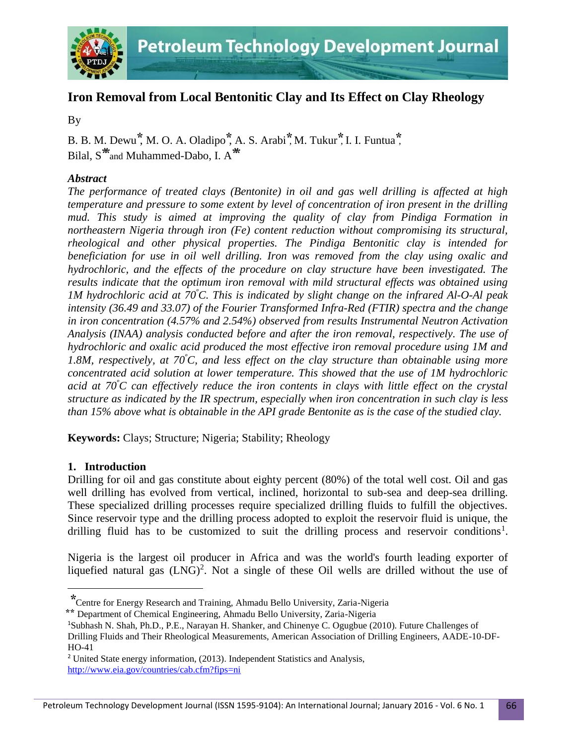

# **Iron Removal from Local Bentonitic Clay and Its Effect on Clay Rheology**

By

B. B. M. Dewu **⃰**, M. O. A. Oladipo **⃰**, A. S. Arabi **⃰**, M. Tukur **⃰**, I. I. Funtua **⃰**, Bilal, S<sup>\*\*</sup>and Muhammed-Dabo, I. A<sup>\*\*</sup>

# *Abstract*

*The performance of treated clays (Bentonite) in oil and gas well drilling is affected at high temperature and pressure to some extent by level of concentration of iron present in the drilling mud. This study is aimed at improving the quality of clay from Pindiga Formation in northeastern Nigeria through iron (Fe) content reduction without compromising its structural, rheological and other physical properties. The Pindiga Bentonitic clay is intended for beneficiation for use in oil well drilling. Iron was removed from the clay using oxalic and hydrochloric, and the effects of the procedure on clay structure have been investigated. The results indicate that the optimum iron removal with mild structural effects was obtained using 1M hydrochloric acid at 70<sup>º</sup>C. This is indicated by slight change on the infrared Al-O-Al peak intensity (36.49 and 33.07) of the Fourier Transformed Infra-Red (FTIR) spectra and the change in iron concentration (4.57% and 2.54%) observed from results Instrumental Neutron Activation Analysis (INAA) analysis conducted before and after the iron removal, respectively. The use of hydrochloric and oxalic acid produced the most effective iron removal procedure using 1M and 1.8M, respectively, at 70<sup>º</sup>C, and less effect on the clay structure than obtainable using more concentrated acid solution at lower temperature. This showed that the use of 1M hydrochloric acid at 70<sup>º</sup>C can effectively reduce the iron contents in clays with little effect on the crystal structure as indicated by the IR spectrum, especially when iron concentration in such clay is less than 15% above what is obtainable in the API grade Bentonite as is the case of the studied clay.* 

**Keywords:** Clays; Structure; Nigeria; Stability; Rheology

# **1. Introduction**

 $\overline{\phantom{a}}$ 

Drilling for oil and gas constitute about eighty percent (80%) of the total well cost. Oil and gas well drilling has evolved from vertical, inclined, horizontal to sub-sea and deep-sea drilling. These specialized drilling processes require specialized drilling fluids to fulfill the objectives. Since reservoir type and the drilling process adopted to exploit the reservoir fluid is unique, the drilling fluid has to be customized to suit the drilling process and reservoir conditions<sup>1</sup>.

Nigeria is the largest oil producer in Africa and was the world's fourth leading exporter of liquefied natural gas  $(LNG)^2$ . Not a single of these Oil wells are drilled without the use of

**<sup>⃰</sup>**Centre for Energy Research and Training, Ahmadu Bello University, Zaria-Nigeria

**<sup>⃰</sup> ⃰**Department of Chemical Engineering, Ahmadu Bello University, Zaria-Nigeria

<sup>1</sup>Subhash N. Shah, Ph.D., P.E., Narayan H. Shanker, and Chinenye C. Ogugbue (2010). Future Challenges of

Drilling Fluids and Their Rheological Measurements, American Association of Drilling Engineers, AADE-10-DF-HO-41

<sup>&</sup>lt;sup>2</sup> United State energy information, (2013). Independent Statistics and Analysis, <http://www.eia.gov/countries/cab.cfm?fips=ni>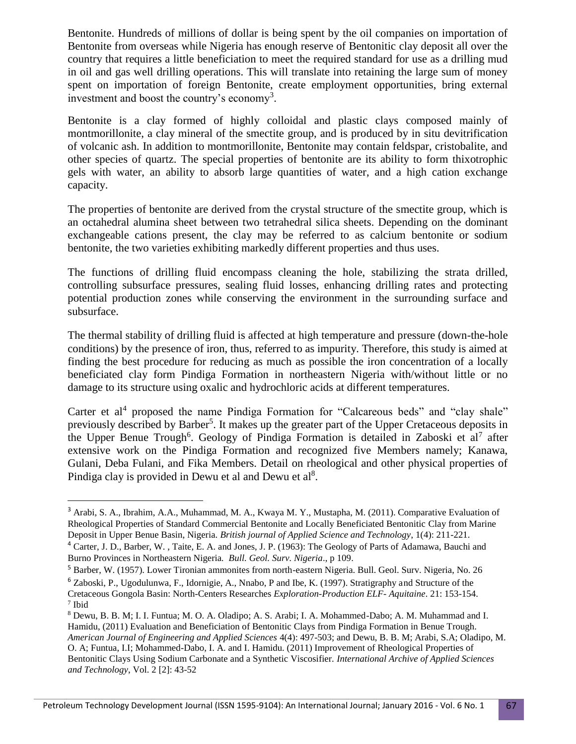Bentonite. Hundreds of millions of dollar is being spent by the oil companies on importation of Bentonite from overseas while Nigeria has enough reserve of Bentonitic clay deposit all over the country that requires a little beneficiation to meet the required standard for use as a drilling mud in oil and gas well drilling operations. This will translate into retaining the large sum of money spent on importation of foreign Bentonite, create employment opportunities, bring external investment and boost the country's economy<sup>3</sup>.

Bentonite is a clay formed of highly colloidal and plastic clays composed mainly of montmorillonite, a clay mineral of the smectite group, and is produced by in situ devitrification of volcanic ash. In addition to montmorillonite, Bentonite may contain feldspar, cristobalite, and other species of quartz. The special properties of bentonite are its ability to form thixotrophic gels with water, an ability to absorb large quantities of water, and a high cation exchange capacity.

The properties of bentonite are derived from the crystal structure of the smectite group, which is an octahedral alumina sheet between two tetrahedral silica sheets. Depending on the dominant exchangeable cations present, the clay may be referred to as calcium bentonite or sodium bentonite, the two varieties exhibiting markedly different properties and thus uses.

The functions of drilling fluid encompass cleaning the hole, stabilizing the strata drilled, controlling subsurface pressures, sealing fluid losses, enhancing drilling rates and protecting potential production zones while conserving the environment in the surrounding surface and subsurface.

The thermal stability of drilling fluid is affected at high temperature and pressure (down-the-hole conditions) by the presence of iron, thus, referred to as impurity. Therefore, this study is aimed at finding the best procedure for reducing as much as possible the iron concentration of a locally beneficiated clay form Pindiga Formation in northeastern Nigeria with/without little or no damage to its structure using oxalic and hydrochloric acids at different temperatures.

Carter et al<sup>4</sup> proposed the name Pindiga Formation for "Calcareous beds" and "clay shale" previously described by Barber<sup>5</sup>. It makes up the greater part of the Upper Cretaceous deposits in the Upper Benue Trough<sup>6</sup>. Geology of Pindiga Formation is detailed in Zaboski et al<sup>7</sup> after extensive work on the Pindiga Formation and recognized five Members namely; Kanawa, Gulani, Deba Fulani, and Fika Members. Detail on rheological and other physical properties of Pindiga clay is provided in Dewu et al and Dewu et al<sup>8</sup>.

<sup>5</sup> Barber, W. (1957). Lower Tironian ammonites from north-eastern Nigeria. Bull. Geol. Surv. Nigeria, No. 26 <sup>6</sup> Zaboski, P., Ugodulunwa, F., Idornigie, A., Nnabo, P and Ibe, K. (1997). Stratigraphy and Structure of the Cretaceous Gongola Basin: North-Centers Researches *Exploration-Production ELF- Aquitaine*. 21: 153-154.

 $\overline{\phantom{a}}$ 

<sup>3</sup> Arabi, S. A., Ibrahim, A.A., Muhammad, M. A., Kwaya M. Y., Mustapha, M. (2011). Comparative Evaluation of Rheological Properties of Standard Commercial Bentonite and Locally Beneficiated Bentonitic Clay from Marine Deposit in Upper Benue Basin, Nigeria. *British journal of Applied Science and Technology*, 1(4): 211-221.

<sup>4</sup> Carter, J. D., Barber, W. , Taite, E. A. and Jones, J. P. (1963): The Geology of Parts of Adamawa, Bauchi and Burno Provinces in Northeastern Nigeria*. Bull. Geol. Surv. Nigeria*., p 109.

<sup>7</sup> Ibid

<sup>8</sup> Dewu, B. B. M; I. I. Funtua; M. O. A. Oladipo; A. S. Arabi; I. A. Mohammed-Dabo; A. M. Muhammad and I. Hamidu, (2011) Evaluation and Beneficiation of Bentonitic Clays from Pindiga Formation in Benue Trough. *American Journal of Engineering and Applied Sciences* 4(4): 497-503; and Dewu, B. B. M; Arabi, S.A; Oladipo, M. O. A; Funtua, I.I; Mohammed-Dabo, I. A. and I. Hamidu. (2011) Improvement of Rheological Properties of Bentonitic Clays Using Sodium Carbonate and a Synthetic Viscosifier. *International Archive of Applied Sciences and Technology*, Vol. 2 [2]: 43-52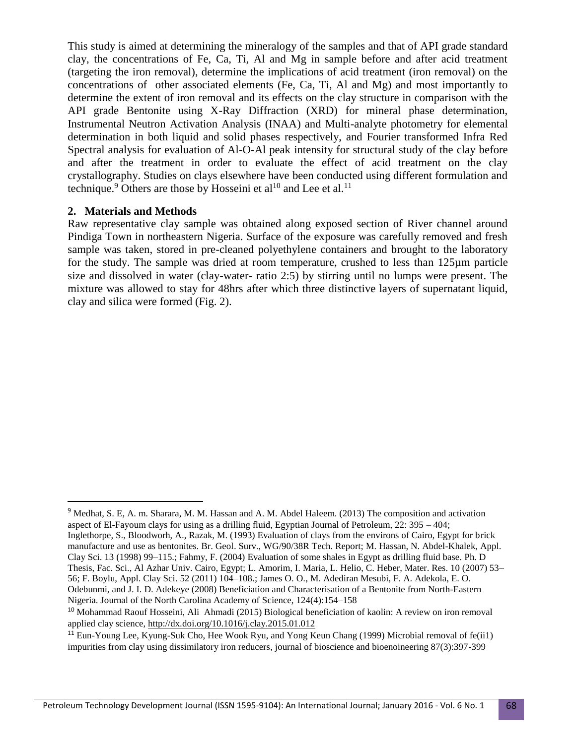This study is aimed at determining the mineralogy of the samples and that of API grade standard clay, the concentrations of Fe, Ca, Ti, Al and Mg in sample before and after acid treatment (targeting the iron removal), determine the implications of acid treatment (iron removal) on the concentrations of other associated elements (Fe, Ca, Ti, Al and Mg) and most importantly to determine the extent of iron removal and its effects on the clay structure in comparison with the API grade Bentonite using X-Ray Diffraction (XRD) for mineral phase determination, Instrumental Neutron Activation Analysis (INAA) and Multi-analyte photometry for elemental determination in both liquid and solid phases respectively, and Fourier transformed Infra Red Spectral analysis for evaluation of Al-O-Al peak intensity for structural study of the clay before and after the treatment in order to evaluate the effect of acid treatment on the clay crystallography. Studies on clays elsewhere have been conducted using different formulation and technique.<sup>9</sup> Others are those by Hosseini et al<sup>10</sup> and Lee et al.<sup>11</sup>

# **2. Materials and Methods**

l

Raw representative clay sample was obtained along exposed section of River channel around Pindiga Town in northeastern Nigeria. Surface of the exposure was carefully removed and fresh sample was taken, stored in pre-cleaned polyethylene containers and brought to the laboratory for the study. The sample was dried at room temperature, crushed to less than 125µm particle size and dissolved in water (clay-water- ratio 2:5) by stirring until no lumps were present. The mixture was allowed to stay for 48hrs after which three distinctive layers of supernatant liquid, clay and silica were formed (Fig. 2).

<sup>9</sup> Medhat, S. E, A. m. Sharara, M. M. Hassan and A. M. Abdel Haleem. (2013) The composition and activation aspect of El-Fayoum clays for using as a drilling fluid, Egyptian Journal of Petroleum, 22: 395 – 404; Inglethorpe, S., Bloodworh, A., Razak, M. (1993) Evaluation of clays from the environs of Cairo, Egypt for brick manufacture and use as bentonites. Br. Geol. Surv., WG/90/38R Tech. Report; M. Hassan, N. Abdel-Khalek, Appl. Clay Sci. 13 (1998) 99–115.; Fahmy, F. (2004) Evaluation of some shales in Egypt as drilling fluid base. Ph. D Thesis, Fac. Sci., Al Azhar Univ. Cairo, Egypt; L. Amorim, I. Maria, L. Helio, C. Heber, Mater. Res. 10 (2007) 53– 56; F. Boylu, Appl. Clay Sci. 52 (2011) 104–108.; James O. O., M. Adediran Mesubi, F. A. Adekola, E. O. Odebunmi, and J. I. D. Adekeye (2008) Beneficiation and Characterisation of a Bentonite from North-Eastern Nigeria. Journal of the North Carolina Academy of Science, 124(4):154–158

<sup>&</sup>lt;sup>10</sup> Mohammad Raouf Hosseini, Ali Ahmadi (2015) Biological beneficiation of kaolin: A review on iron removal applied clay science,<http://dx.doi.org/10.1016/j.clay.2015.01.012>

<sup>&</sup>lt;sup>11</sup> Eun-Young Lee, Kyung-Suk Cho, Hee Wook Ryu, and Yong Keun Chang (1999) Microbial removal of fe(ii1) impurities from clay using dissimilatory iron reducers, journal of bioscience and bioenoineering 87(3):397-399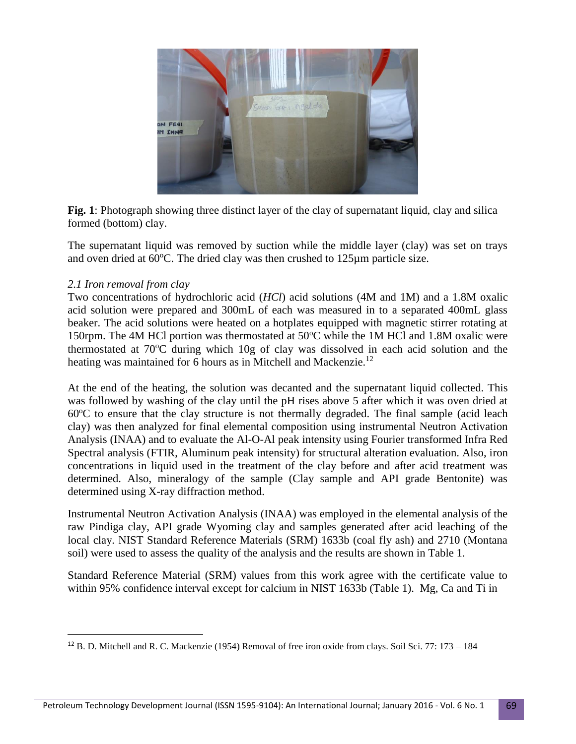

**Fig. 1**: Photograph showing three distinct layer of the clay of supernatant liquid, clay and silica formed (bottom) clay.

The supernatant liquid was removed by suction while the middle layer (clay) was set on trays and oven dried at  $60^{\circ}$ C. The dried clay was then crushed to  $125 \mu m$  particle size.

# *2.1 Iron removal from clay*

 $\overline{\phantom{a}}$ 

Two concentrations of hydrochloric acid (*HCl*) acid solutions (4M and 1M) and a 1.8M oxalic acid solution were prepared and 300mL of each was measured in to a separated 400mL glass beaker. The acid solutions were heated on a hotplates equipped with magnetic stirrer rotating at 150rpm. The 4M HCl portion was thermostated at  $50^{\circ}$ C while the 1M HCl and 1.8M oxalic were thermostated at  $70^{\circ}$ C during which  $10g$  of clay was dissolved in each acid solution and the heating was maintained for 6 hours as in Mitchell and Mackenzie.<sup>12</sup>

At the end of the heating, the solution was decanted and the supernatant liquid collected. This was followed by washing of the clay until the pH rises above 5 after which it was oven dried at  $60^{\circ}$ C to ensure that the clay structure is not thermally degraded. The final sample (acid leach clay) was then analyzed for final elemental composition using instrumental Neutron Activation Analysis (INAA) and to evaluate the Al-O-Al peak intensity using Fourier transformed Infra Red Spectral analysis (FTIR, Aluminum peak intensity) for structural alteration evaluation. Also, iron concentrations in liquid used in the treatment of the clay before and after acid treatment was determined. Also, mineralogy of the sample (Clay sample and API grade Bentonite) was determined using X-ray diffraction method.

Instrumental Neutron Activation Analysis (INAA) was employed in the elemental analysis of the raw Pindiga clay, API grade Wyoming clay and samples generated after acid leaching of the local clay. NIST Standard Reference Materials (SRM) 1633b (coal fly ash) and 2710 (Montana soil) were used to assess the quality of the analysis and the results are shown in Table 1.

Standard Reference Material (SRM) values from this work agree with the certificate value to within 95% confidence interval except for calcium in NIST 1633b (Table 1). Mg, Ca and Ti in

<sup>12</sup> B. D. Mitchell and R. C. Mackenzie (1954) Removal of free iron oxide from clays. Soil Sci. 77: 173 – 184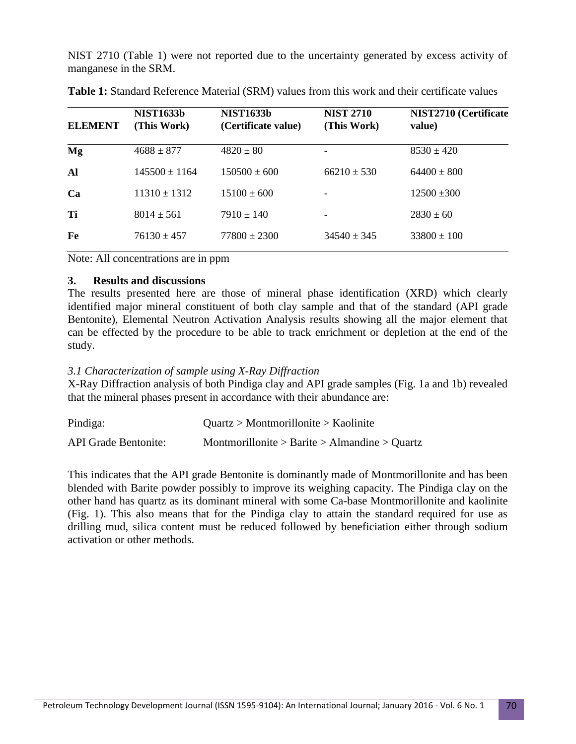NIST 2710 (Table 1) were not reported due to the uncertainty generated by excess activity of manganese in the SRM.

| <b>ELEMENT</b> | <b>NIST1633b</b><br>(This Work) | <b>NIST1633b</b><br>(Certificate value) | <b>NIST 2710</b><br>(This Work) | NIST2710 (Certificate<br>value) |
|----------------|---------------------------------|-----------------------------------------|---------------------------------|---------------------------------|
| Mg             | $4688 \pm 877$                  | $4820 \pm 80$                           |                                 | $8530 \pm 420$                  |
| Al             | $145500 \pm 1164$               | $150500 \pm 600$                        | $66210 \pm 530$                 | $64400 \pm 800$                 |
| Ca             | $11310 \pm 1312$                | $15100 \pm 600$                         |                                 | $12500 \pm 300$                 |
| Тi             | $8014 \pm 561$                  | $7910 \pm 140$                          |                                 | $2830 \pm 60$                   |
| Fe             | $76130 \pm 457$                 | $77800 \pm 2300$                        | $34540 \pm 345$                 | $33800 \pm 100$                 |

**Table 1:** Standard Reference Material (SRM) values from this work and their certificate values

Note: All concentrations are in ppm

# **3. Results and discussions**

The results presented here are those of mineral phase identification (XRD) which clearly identified major mineral constituent of both clay sample and that of the standard (API grade Bentonite), Elemental Neutron Activation Analysis results showing all the major element that can be effected by the procedure to be able to track enrichment or depletion at the end of the study.

# *3.1 Characterization of sample using X-Ray Diffraction*

X-Ray Diffraction analysis of both Pindiga clay and API grade samples (Fig. 1a and 1b) revealed that the mineral phases present in accordance with their abundance are:

| Pindiga:                    | Quartz > Montmorillonite > Kaolinite          |
|-----------------------------|-----------------------------------------------|
| <b>API</b> Grade Bentonite: | Montmorillonite > Barite > Almandine > Quartz |

This indicates that the API grade Bentonite is dominantly made of Montmorillonite and has been blended with Barite powder possibly to improve its weighing capacity. The Pindiga clay on the other hand has quartz as its dominant mineral with some Ca-base Montmorillonite and kaolinite (Fig. 1). This also means that for the Pindiga clay to attain the standard required for use as drilling mud, silica content must be reduced followed by beneficiation either through sodium activation or other methods.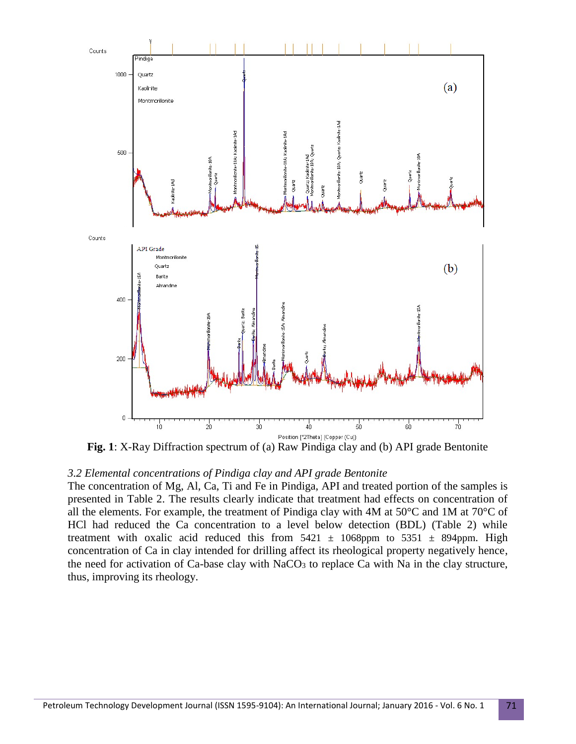

**Fig. 1**: X-Ray Diffraction spectrum of (a) Raw Pindiga clay and (b) API grade Bentonite

### *3.2 Elemental concentrations of Pindiga clay and API grade Bentonite*

The concentration of Mg, Al, Ca, Ti and Fe in Pindiga, API and treated portion of the samples is presented in Table 2. The results clearly indicate that treatment had effects on concentration of all the elements. For example, the treatment of Pindiga clay with 4M at 50°C and 1M at 70°C of HCl had reduced the Ca concentration to a level below detection (BDL) (Table 2) while treatment with oxalic acid reduced this from  $5421 \pm 1068$ ppm to  $5351 \pm 894$ ppm. High concentration of Ca in clay intended for drilling affect its rheological property negatively hence, the need for activation of Ca-base clay with NaCO<sub>3</sub> to replace Ca with Na in the clay structure, thus, improving its rheology.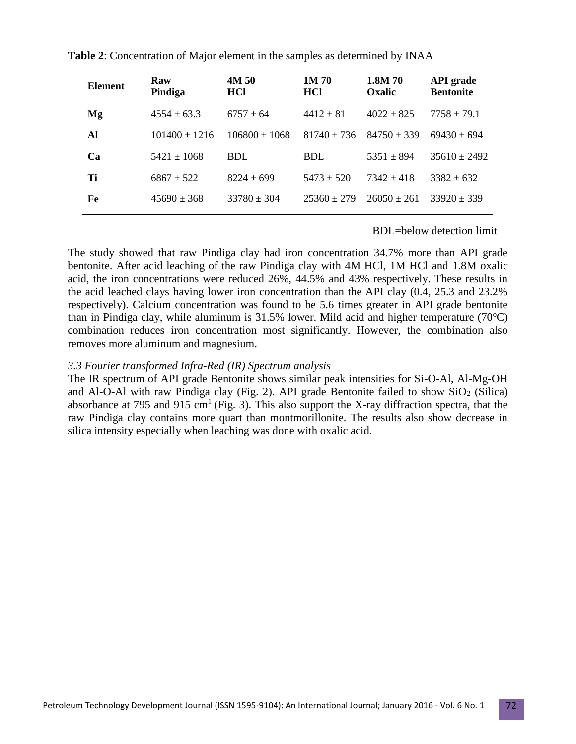| <b>Element</b> | Raw<br>Pindiga    | 4M 50<br><b>HCl</b> | 1M70<br><b>HCl</b> | 1.8M 70<br><b>Oxalic</b> | <b>API</b> grade<br><b>Bentonite</b> |
|----------------|-------------------|---------------------|--------------------|--------------------------|--------------------------------------|
| Mg             | $4554 \pm 63.3$   | $6757 \pm 64$       | $4412 \pm 81$      | $4022 \pm 825$           | $7758 \pm 79.1$                      |
| Al             | $101400 \pm 1216$ | $106800 \pm 1068$   | $81740 \pm 736$    | $84750 \pm 339$          | $69430 \pm 694$                      |
| Ca             | $5421 \pm 1068$   | BDL                 | <b>BDL</b>         | $5351 \pm 894$           | $35610 \pm 2492$                     |
| Ti             | $6867 \pm 522$    | $8224 \pm 699$      | $5473 \pm 520$     | $7342 \pm 418$           | $3382 \pm 632$                       |
| Fe             | $45690 \pm 368$   | $33780 \pm 304$     | $25360 + 279$      | $26050 \pm 261$          | $33920 \pm 339$                      |

**Table 2**: Concentration of Major element in the samples as determined by INAA

#### BDL=below detection limit

The study showed that raw Pindiga clay had iron concentration 34.7% more than API grade bentonite. After acid leaching of the raw Pindiga clay with 4M HCl, 1M HCl and 1.8M oxalic acid, the iron concentrations were reduced 26%, 44.5% and 43% respectively. These results in the acid leached clays having lower iron concentration than the API clay (0.4, 25.3 and 23.2% respectively). Calcium concentration was found to be 5.6 times greater in API grade bentonite than in Pindiga clay, while aluminum is  $31.5\%$  lower. Mild acid and higher temperature (70 $^{\circ}$ C) combination reduces iron concentration most significantly. However, the combination also removes more aluminum and magnesium.

### *3.3 Fourier transformed Infra-Red (IR) Spectrum analysis*

The IR spectrum of API grade Bentonite shows similar peak intensities for Si-O-Al, Al-Mg-OH and Al-O-Al with raw Pindiga clay (Fig. 2). API grade Bentonite failed to show  $SiO<sub>2</sub>$  (Silica) absorbance at 795 and 915 cm<sup>1</sup> (Fig. 3). This also support the X-ray diffraction spectra, that the raw Pindiga clay contains more quart than montmorillonite. The results also show decrease in silica intensity especially when leaching was done with oxalic acid.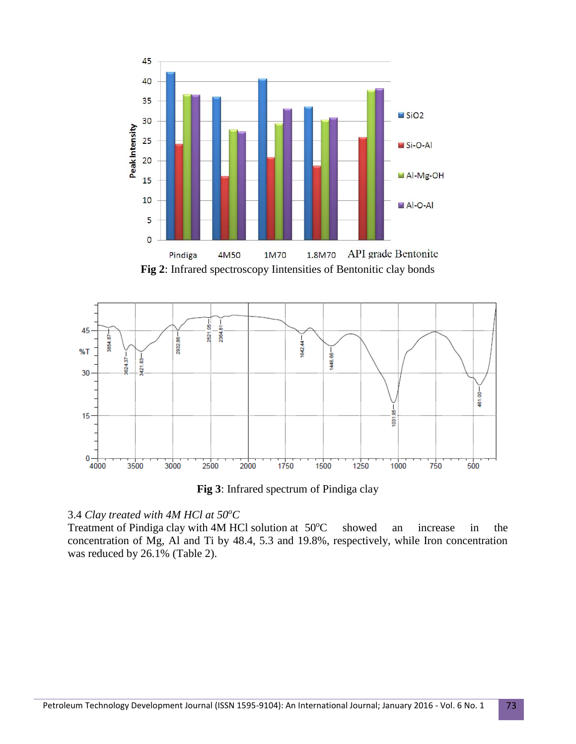



**Fig 3**: Infrared spectrum of Pindiga clay

# 3.4 *Clay treated with 4M HCl at 50<sup>o</sup>C*

Treatment of Pindiga clay with  $4M$  HCl solution at  $50^{\circ}$ C showed an increase in the concentration of Mg, Al and Ti by 48.4, 5.3 and 19.8%, respectively, while Iron concentration was reduced by 26.1% (Table 2).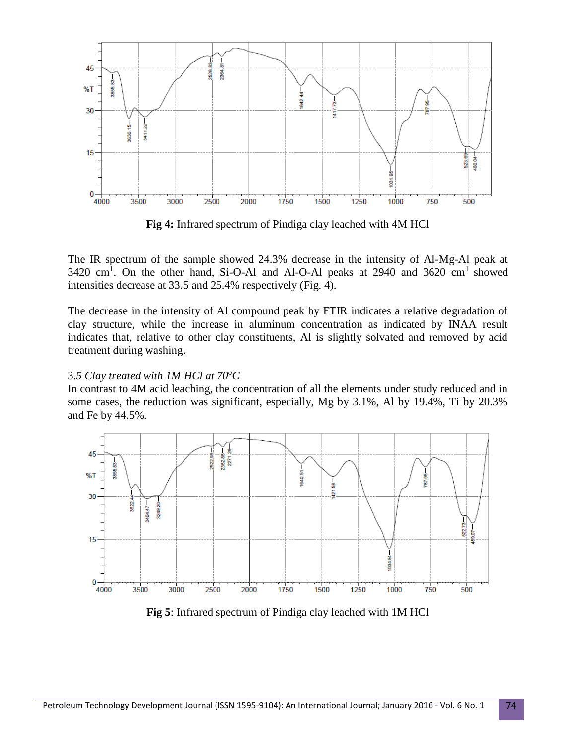

**Fig 4:** Infrared spectrum of Pindiga clay leached with 4M HCl

The IR spectrum of the sample showed 24.3% decrease in the intensity of Al-Mg-Al peak at 3420 cm<sup>1</sup>. On the other hand, Si-O-Al and Al-O-Al peaks at 2940 and 3620 cm<sup>1</sup> showed intensities decrease at 33.5 and 25.4% respectively (Fig. 4).

The decrease in the intensity of Al compound peak by FTIR indicates a relative degradation of clay structure, while the increase in aluminum concentration as indicated by INAA result indicates that, relative to other clay constituents, Al is slightly solvated and removed by acid treatment during washing.

# 3.*5 Clay treated with 1M HCl at 70<sup>o</sup>C*

In contrast to 4M acid leaching, the concentration of all the elements under study reduced and in some cases, the reduction was significant, especially, Mg by 3.1%, Al by 19.4%, Ti by 20.3% and Fe by 44.5%.



**Fig 5**: Infrared spectrum of Pindiga clay leached with 1M HCl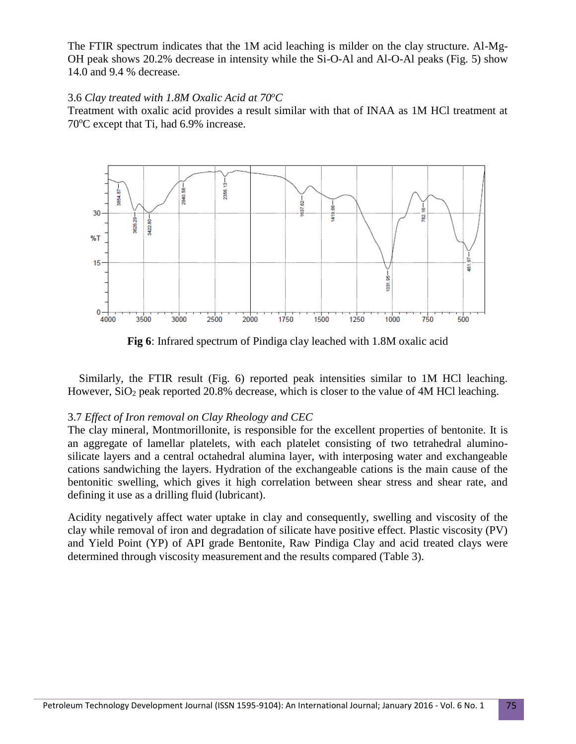The FTIR spectrum indicates that the 1M acid leaching is milder on the clay structure. Al-Mg-OH peak shows 20.2% decrease in intensity while the Si-O-Al and Al-O-Al peaks (Fig. 5) show 14.0 and 9.4 % decrease.

### 3.6 *Clay treated with 1.8M Oxalic Acid at 70<sup>o</sup>C*

Treatment with oxalic acid provides a result similar with that of INAA as 1M HCl treatment at 70<sup>o</sup>C except that Ti, had 6.9% increase.



**Fig 6**: Infrared spectrum of Pindiga clay leached with 1.8M oxalic acid

 Similarly, the FTIR result (Fig. 6) reported peak intensities similar to 1M HCl leaching. However,  $SiO<sub>2</sub>$  peak reported 20.8% decrease, which is closer to the value of 4M HCl leaching.

# 3.7 *Effect of Iron removal on Clay Rheology and CEC*

The clay mineral, Montmorillonite, is responsible for the excellent properties of bentonite. It is an aggregate of lamellar platelets, with each platelet consisting of two tetrahedral aluminosilicate layers and a central octahedral alumina layer, with interposing water and exchangeable cations sandwiching the layers. Hydration of the exchangeable cations is the main cause of the bentonitic swelling, which gives it high correlation between shear stress and shear rate, and defining it use as a drilling fluid (lubricant).

Acidity negatively affect water uptake in clay and consequently, swelling and viscosity of the clay while removal of iron and degradation of silicate have positive effect. Plastic viscosity (PV) and Yield Point (YP) of API grade Bentonite, Raw Pindiga Clay and acid treated clays were determined through viscosity measurement and the results compared (Table 3).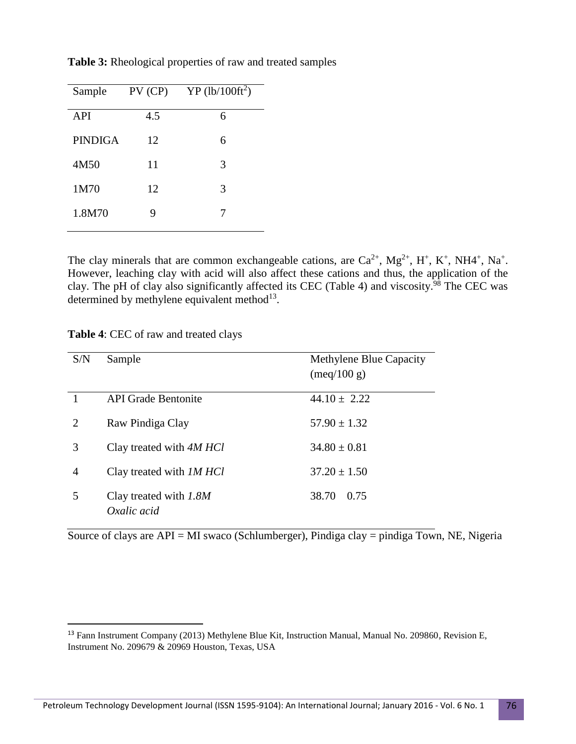| $PV$ (CP) | $YP$ (lb/100ft <sup>2</sup> ) |
|-----------|-------------------------------|
| 4.5       | 6                             |
| 12        | 6                             |
| 11        | 3                             |
| 12        | 3                             |
| 9         | 7                             |
|           |                               |

**Table 3:** Rheological properties of raw and treated samples

The clay minerals that are common exchangeable cations, are  $Ca^{2+}$ ,  $Mg^{2+}$ ,  $H^+$ ,  $K^+$ , NH4<sup>+</sup>, Na<sup>+</sup>. However, leaching clay with acid will also affect these cations and thus, the application of the clay. The pH of clay also significantly affected its CEC (Table 4) and viscosity.<sup>98</sup> The CEC was determined by methylene equivalent method<sup>13</sup>.

| Table 4: CEC of raw and treated clays |  |
|---------------------------------------|--|
|---------------------------------------|--|

 $\overline{\phantom{a}}$ 

| S/N                         | Sample                                | Methylene Blue Capacity<br>$(\text{meq}/100 \text{ g})$ |
|-----------------------------|---------------------------------------|---------------------------------------------------------|
|                             | <b>API</b> Grade Bentonite            | $44.10 \pm 2.22$                                        |
| $\mathcal{D}_{\mathcal{L}}$ | Raw Pindiga Clay                      | $57.90 \pm 1.32$                                        |
| 3                           | Clay treated with 4M HCl              | $34.80 \pm 0.81$                                        |
| 4                           | Clay treated with <i>IM HCl</i>       | $37.20 \pm 1.50$                                        |
| 5                           | Clay treated with 1.8M<br>Oxalic acid | 38.70<br>0.75                                           |

Source of clays are API = MI swaco (Schlumberger), Pindiga clay = pindiga Town, NE, Nigeria

<sup>&</sup>lt;sup>13</sup> Fann Instrument Company (2013) Methylene Blue Kit, Instruction Manual, Manual No. 209860, Revision E, Instrument No. 209679 & 20969 Houston, Texas, USA